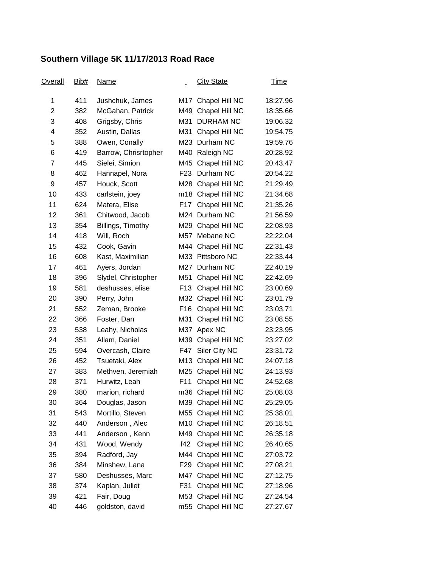## **Southern Village 5K 11/17/2013 Road Race**

| <u>Overall</u> | Bib# | <b>Name</b>          |                 | <b>City State</b>  | <u>Time</u> |
|----------------|------|----------------------|-----------------|--------------------|-------------|
| 1              | 411  | Jushchuk, James      | M17             | Chapel Hill NC     | 18:27.96    |
| $\overline{2}$ | 382  | McGahan, Patrick     | M49             | Chapel Hill NC     | 18:35.66    |
| 3              | 408  | Grigsby, Chris       | M31             | <b>DURHAM NC</b>   | 19:06.32    |
| 4              | 352  | Austin, Dallas       | M31             | Chapel Hill NC     | 19:54.75    |
| 5              | 388  | Owen, Conally        | M23             | Durham NC          | 19:59.76    |
| 6              | 419  | Barrow, Chrisrtopher | M40             | Raleigh NC         | 20:28.92    |
| 7              | 445  | Sielei, Simion       | M45             | Chapel Hill NC     | 20:43.47    |
| 8              | 462  | Hannapel, Nora       | F <sub>23</sub> | Durham NC          | 20:54.22    |
| 9              | 457  | Houck, Scott         |                 | M28 Chapel Hill NC | 21:29.49    |
| 10             | 433  | carlstein, joey      | m18             | Chapel Hill NC     | 21:34.68    |
| 11             | 624  | Matera, Elise        | F17             | Chapel Hill NC     | 21:35.26    |
| 12             | 361  | Chitwood, Jacob      |                 | M24 Durham NC      | 21:56.59    |
| 13             | 354  | Billings, Timothy    | M29             | Chapel Hill NC     | 22:08.93    |
| 14             | 418  | Will, Roch           | M57             | Mebane NC          | 22:22.04    |
| 15             | 432  | Cook, Gavin          | M44             | Chapel Hill NC     | 22:31.43    |
| 16             | 608  | Kast, Maximilian     |                 | M33 Pittsboro NC   | 22:33.44    |
| 17             | 461  | Ayers, Jordan        | M27             | Durham NC          | 22:40.19    |
| 18             | 396  | Slydel, Christopher  | M51             | Chapel Hill NC     | 22:42.69    |
| 19             | 581  | deshusses, elise     | F <sub>13</sub> | Chapel Hill NC     | 23:00.69    |
| 20             | 390  | Perry, John          | M32             | Chapel Hill NC     | 23:01.79    |
| 21             | 552  | Zeman, Brooke        | F <sub>16</sub> | Chapel Hill NC     | 23:03.71    |
| 22             | 366  | Foster, Dan          | M31             | Chapel Hill NC     | 23:08.55    |
| 23             | 538  | Leahy, Nicholas      | M37             | Apex NC            | 23:23.95    |
| 24             | 351  | Allam, Daniel        | M39             | Chapel Hill NC     | 23:27.02    |
| 25             | 594  | Overcash, Claire     | F47             | Siler City NC      | 23:31.72    |
| 26             | 452  | Tsuetaki, Alex       | M <sub>13</sub> | Chapel Hill NC     | 24:07.18    |
| 27             | 383  | Methven, Jeremiah    | M25             | Chapel Hill NC     | 24:13.93    |
| 28             | 371  | Hurwitz, Leah        | F11             | Chapel Hill NC     | 24:52.68    |
| 29             | 380  | marion, richard      |                 | m36 Chapel Hill NC | 25:08.03    |
| 30             | 364  | Douglas, Jason       |                 | M39 Chapel Hill NC | 25:29.05    |
| 31             | 543  | Mortillo, Steven     | M55             | Chapel Hill NC     | 25:38.01    |
| 32             | 440  | Anderson, Alec       | M10             | Chapel Hill NC     | 26:18.51    |
| 33             | 441  | Anderson, Kenn       | M49             | Chapel Hill NC     | 26:35.18    |
| 34             | 431  | Wood, Wendy          | f42             | Chapel Hill NC     | 26:40.65    |
| 35             | 394  | Radford, Jay         | M44             | Chapel Hill NC     | 27:03.72    |
| 36             | 384  | Minshew, Lana        | F <sub>29</sub> | Chapel Hill NC     | 27:08.21    |
| 37             | 580  | Deshusses, Marc      | M47             | Chapel Hill NC     | 27:12.75    |
| 38             | 374  | Kaplan, Juliet       | F31             | Chapel Hill NC     | 27:18.96    |
| 39             | 421  | Fair, Doug           | M53             | Chapel Hill NC     | 27:24.54    |
| 40             | 446  | goldston, david      | m55             | Chapel Hill NC     | 27:27.67    |
|                |      |                      |                 |                    |             |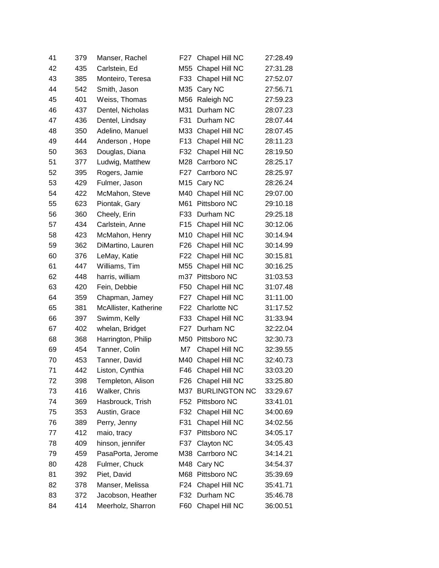| 41 | 379 | Manser, Rachel        | F27              | Chapel Hill NC       | 27:28.49 |
|----|-----|-----------------------|------------------|----------------------|----------|
| 42 | 435 | Carlstein, Ed         | M55              | Chapel Hill NC       | 27:31.28 |
| 43 | 385 | Monteiro, Teresa      | F33              | Chapel Hill NC       | 27:52.07 |
| 44 | 542 | Smith, Jason          | M35              | Cary NC              | 27:56.71 |
| 45 | 401 | Weiss, Thomas         | M56              | Raleigh NC           | 27:59.23 |
| 46 | 437 | Dentel, Nicholas      | M31              | Durham NC            | 28:07.23 |
| 47 | 436 | Dentel, Lindsay       | F31              | Durham NC            | 28:07.44 |
| 48 | 350 | Adelino, Manuel       | M33              | Chapel Hill NC       | 28:07.45 |
| 49 | 444 | Anderson, Hope        | F <sub>13</sub>  | Chapel Hill NC       | 28:11.23 |
| 50 | 363 | Douglas, Diana        | F32              | Chapel Hill NC       | 28:19.50 |
| 51 | 377 | Ludwig, Matthew       | M28              | Carrboro NC          | 28:25.17 |
| 52 | 395 | Rogers, Jamie         | F27              | Carrboro NC          | 28:25.97 |
| 53 | 429 | Fulmer, Jason         | M15              | Cary NC              | 28:26.24 |
| 54 | 422 | McMahon, Steve        | M40              | Chapel Hill NC       | 29:07.00 |
| 55 | 623 | Piontak, Gary         | M61              | Pittsboro NC         | 29:10.18 |
| 56 | 360 | Cheely, Erin          | F33              | Durham NC            | 29:25.18 |
| 57 | 434 | Carlstein, Anne       | F <sub>15</sub>  | Chapel Hill NC       | 30:12.06 |
| 58 | 423 | McMahon, Henry        | M10              | Chapel Hill NC       | 30:14.94 |
| 59 | 362 | DiMartino, Lauren     | F <sub>26</sub>  | Chapel Hill NC       | 30:14.99 |
| 60 | 376 | LeMay, Katie          | F <sub>22</sub>  | Chapel Hill NC       | 30:15.81 |
| 61 | 447 | Williams, Tim         | M55              | Chapel Hill NC       | 30:16.25 |
| 62 | 448 | harris, william       | m37              | Pittsboro NC         | 31:03.53 |
| 63 | 420 | Fein, Debbie          | F50              | Chapel Hill NC       | 31:07.48 |
| 64 | 359 | Chapman, Jamey        | F27              | Chapel Hill NC       | 31:11.00 |
| 65 | 381 | McAllister, Katherine | F <sub>22</sub>  | Charlotte NC         | 31:17.52 |
| 66 | 397 | Swimm, Kelly          | F33              | Chapel Hill NC       | 31:33.94 |
| 67 | 402 | whelan, Bridget       | F <sub>2</sub> 7 | Durham NC            | 32:22.04 |
| 68 | 368 | Harrington, Philip    | M50              | Pittsboro NC         | 32:30.73 |
| 69 | 454 | Tanner, Colin         | M7               | Chapel Hill NC       | 32:39.55 |
| 70 | 453 | Tanner, David         | M40              | Chapel Hill NC       | 32:40.73 |
| 71 | 442 | Liston, Cynthia       | F46              | Chapel Hill NC       | 33:03.20 |
| 72 | 398 | Templeton, Alison     | F <sub>26</sub>  | Chapel Hill NC       | 33:25.80 |
| 73 | 416 | Walker, Chris         | M37              | <b>BURLINGTON NC</b> | 33:29.67 |
| 74 | 369 | Hasbrouck, Trish      | F52              | Pittsboro NC         | 33:41.01 |
| 75 | 353 | Austin, Grace         | F32              | Chapel Hill NC       | 34:00.69 |
| 76 | 389 | Perry, Jenny          | F31              | Chapel Hill NC       | 34:02.56 |
| 77 | 412 | maio, tracy           | F37              | Pittsboro NC         | 34:05.17 |
| 78 | 409 | hinson, jennifer      | F37              | Clayton NC           | 34:05.43 |
| 79 | 459 | PasaPorta, Jerome     | M38              | Carrboro NC          | 34:14.21 |
| 80 | 428 | Fulmer, Chuck         | M48              | Cary NC              | 34:54.37 |
| 81 | 392 | Piet, David           | M68              | Pittsboro NC         | 35:39.69 |
| 82 | 378 | Manser, Melissa       | F <sub>24</sub>  | Chapel Hill NC       | 35:41.71 |
| 83 | 372 | Jacobson, Heather     | F32              | Durham NC            | 35:46.78 |
| 84 | 414 | Meerholz, Sharron     | F60              | Chapel Hill NC       | 36:00.51 |